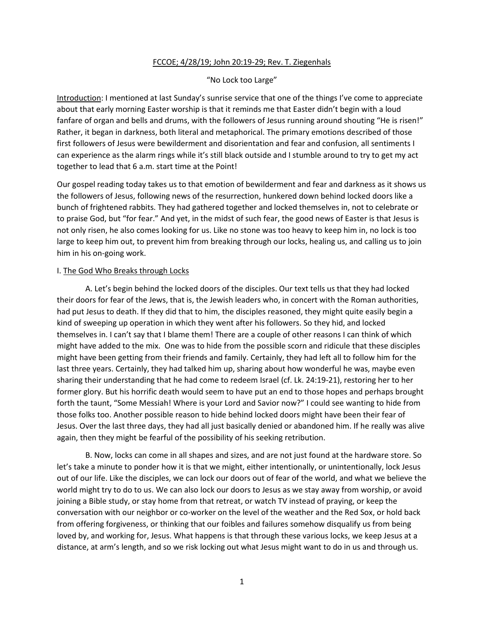# FCCOE; 4/28/19; John 20:19-29; Rev. T. Ziegenhals

## "No Lock too Large"

Introduction: I mentioned at last Sunday's sunrise service that one of the things I've come to appreciate about that early morning Easter worship is that it reminds me that Easter didn't begin with a loud fanfare of organ and bells and drums, with the followers of Jesus running around shouting "He is risen!" Rather, it began in darkness, both literal and metaphorical. The primary emotions described of those first followers of Jesus were bewilderment and disorientation and fear and confusion, all sentiments I can experience as the alarm rings while it's still black outside and I stumble around to try to get my act together to lead that 6 a.m. start time at the Point!

Our gospel reading today takes us to that emotion of bewilderment and fear and darkness as it shows us the followers of Jesus, following news of the resurrection, hunkered down behind locked doors like a bunch of frightened rabbits. They had gathered together and locked themselves in, not to celebrate or to praise God, but "for fear." And yet, in the midst of such fear, the good news of Easter is that Jesus is not only risen, he also comes looking for us. Like no stone was too heavy to keep him in, no lock is too large to keep him out, to prevent him from breaking through our locks, healing us, and calling us to join him in his on-going work.

#### I. The God Who Breaks through Locks

A. Let's begin behind the locked doors of the disciples. Our text tells us that they had locked their doors for fear of the Jews, that is, the Jewish leaders who, in concert with the Roman authorities, had put Jesus to death. If they did that to him, the disciples reasoned, they might quite easily begin a kind of sweeping up operation in which they went after his followers. So they hid, and locked themselves in. I can't say that I blame them! There are a couple of other reasons I can think of which might have added to the mix. One was to hide from the possible scorn and ridicule that these disciples might have been getting from their friends and family. Certainly, they had left all to follow him for the last three years. Certainly, they had talked him up, sharing about how wonderful he was, maybe even sharing their understanding that he had come to redeem Israel (cf. Lk. 24:19-21), restoring her to her former glory. But his horrific death would seem to have put an end to those hopes and perhaps brought forth the taunt, "Some Messiah! Where is your Lord and Savior now?" I could see wanting to hide from those folks too. Another possible reason to hide behind locked doors might have been their fear of Jesus. Over the last three days, they had all just basically denied or abandoned him. If he really was alive again, then they might be fearful of the possibility of his seeking retribution.

B. Now, locks can come in all shapes and sizes, and are not just found at the hardware store. So let's take a minute to ponder how it is that we might, either intentionally, or unintentionally, lock Jesus out of our life. Like the disciples, we can lock our doors out of fear of the world, and what we believe the world might try to do to us. We can also lock our doors to Jesus as we stay away from worship, or avoid joining a Bible study, or stay home from that retreat, or watch TV instead of praying, or keep the conversation with our neighbor or co-worker on the level of the weather and the Red Sox, or hold back from offering forgiveness, or thinking that our foibles and failures somehow disqualify us from being loved by, and working for, Jesus. What happens is that through these various locks, we keep Jesus at a distance, at arm's length, and so we risk locking out what Jesus might want to do in us and through us.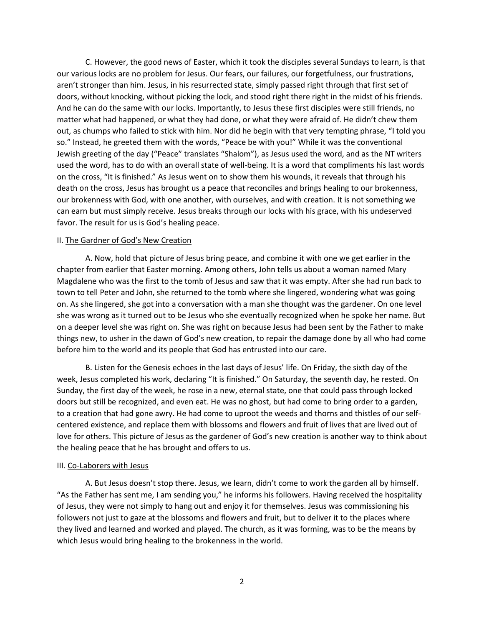C. However, the good news of Easter, which it took the disciples several Sundays to learn, is that our various locks are no problem for Jesus. Our fears, our failures, our forgetfulness, our frustrations, aren't stronger than him. Jesus, in his resurrected state, simply passed right through that first set of doors, without knocking, without picking the lock, and stood right there right in the midst of his friends. And he can do the same with our locks. Importantly, to Jesus these first disciples were still friends, no matter what had happened, or what they had done, or what they were afraid of. He didn't chew them out, as chumps who failed to stick with him. Nor did he begin with that very tempting phrase, "I told you so." Instead, he greeted them with the words, "Peace be with you!" While it was the conventional Jewish greeting of the day ("Peace" translates "Shalom"), as Jesus used the word, and as the NT writers used the word, has to do with an overall state of well-being. It is a word that compliments his last words on the cross, "It is finished." As Jesus went on to show them his wounds, it reveals that through his death on the cross, Jesus has brought us a peace that reconciles and brings healing to our brokenness, our brokenness with God, with one another, with ourselves, and with creation. It is not something we can earn but must simply receive. Jesus breaks through our locks with his grace, with his undeserved favor. The result for us is God's healing peace.

### II. The Gardner of God's New Creation

A. Now, hold that picture of Jesus bring peace, and combine it with one we get earlier in the chapter from earlier that Easter morning. Among others, John tells us about a woman named Mary Magdalene who was the first to the tomb of Jesus and saw that it was empty. After she had run back to town to tell Peter and John, she returned to the tomb where she lingered, wondering what was going on. As she lingered, she got into a conversation with a man she thought was the gardener. On one level she was wrong as it turned out to be Jesus who she eventually recognized when he spoke her name. But on a deeper level she was right on. She was right on because Jesus had been sent by the Father to make things new, to usher in the dawn of God's new creation, to repair the damage done by all who had come before him to the world and its people that God has entrusted into our care.

B. Listen for the Genesis echoes in the last days of Jesus' life. On Friday, the sixth day of the week, Jesus completed his work, declaring "It is finished." On Saturday, the seventh day, he rested. On Sunday, the first day of the week, he rose in a new, eternal state, one that could pass through locked doors but still be recognized, and even eat. He was no ghost, but had come to bring order to a garden, to a creation that had gone awry. He had come to uproot the weeds and thorns and thistles of our selfcentered existence, and replace them with blossoms and flowers and fruit of lives that are lived out of love for others. This picture of Jesus as the gardener of God's new creation is another way to think about the healing peace that he has brought and offers to us.

#### III. Co-Laborers with Jesus

A. But Jesus doesn't stop there. Jesus, we learn, didn't come to work the garden all by himself. "As the Father has sent me, I am sending you," he informs his followers. Having received the hospitality of Jesus, they were not simply to hang out and enjoy it for themselves. Jesus was commissioning his followers not just to gaze at the blossoms and flowers and fruit, but to deliver it to the places where they lived and learned and worked and played. The church, as it was forming, was to be the means by which Jesus would bring healing to the brokenness in the world.